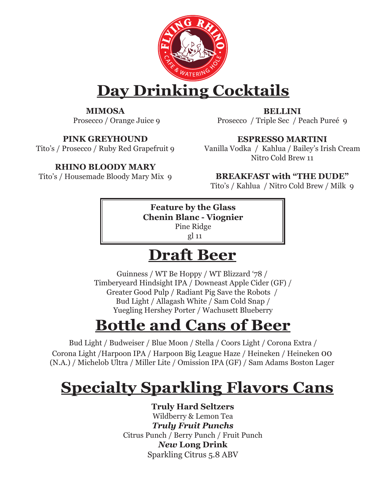

# **Day Drinking Cocktails**

**MIMOSA** Prosecco / Orange Juice 9

**PINK GREYHOUND**

Tito's / Prosecco / Ruby Red Grapefruit 9

### **RHINO BLOODY MARY**

Tito's / Housemade Bloody Mary Mix 9

**BELLINI** Prosecco / Triple Sec / Peach Pureé 9

**ESPRESSO MARTINI**

Vanilla Vodka / Kahlua / Bailey's Irish Cream Nitro Cold Brew 11

**BREAKFAST with "THE DUDE"** Tito's / Kahlua / Nitro Cold Brew / Milk 9

**Feature by the Glass Chenin Blanc - Viognier** Pine Ridge

gl 11

## **Draft Beer**

Guinness / WT Be Hoppy / WT Blizzard '78 / Timberyeard Hindsight IPA / Downeast Apple Cider (GF) / Greater Good Pulp / Radiant Pig Save the Robots / Bud Light / Allagash White / Sam Cold Snap / Yuegling Hershey Porter / Wachusett Blueberry

# **Bottle and Cans of Beer**

 Bud Light / Budweiser / Blue Moon / Stella / Coors Light / Corona Extra / Corona Light /Harpoon IPA / Harpoon Big League Haze / Heineken / Heineken 00 (N.A.) / Michelob Ultra / Miller Lite / Omission IPA (GF) / Sam Adams Boston Lager

# **Specialty Sparkling Flavors Cans**

**Truly Hard Seltzers** Wildberry & Lemon Tea *Truly Fruit Punchs* Citrus Punch / Berry Punch / Fruit Punch *New* **Long Drink** Sparkling Citrus 5.8 ABV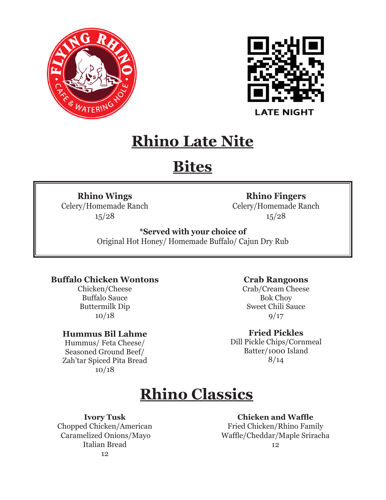



## **Rhino Late Nite**

# **Bites**

#### **Rhino Wings**

Celery/Homemade Ranch 15/28

### **Rhino Fingers**

Celery/Homemade Ranch 15/28

### **\*Served with your choice of**

Original Hot Honey/ Homemade Buffalo/ Cajun Dry Rub

#### **Buffalo Chicken Wontons**

Chicken/Cheese Buffalo Sauce Buttermilk Dip 10/18

#### **Hummus Bil Lahme**

Hummus/ Feta Cheese/ Seasoned Ground Beef/ Zah'tar Spiced Pita Bread 10/18

#### **Crab Rangoons**

Crab/Cream Cheese Bok Choy Sweet Chili Sauce  $9/17$ 

**Fried Pickles** 

Dill Pickle Chips/Cornmeal Batter/1000 Island 8/14

# **Rhino Classics**

**Ivory Tusk**

Chopped Chicken/American Caramelized Onions/Mayo Italian Bread 12

**Chicken and Waffle** 

Fried Chicken/Rhino Family Waffle/Cheddar/Maple Sriracha 12